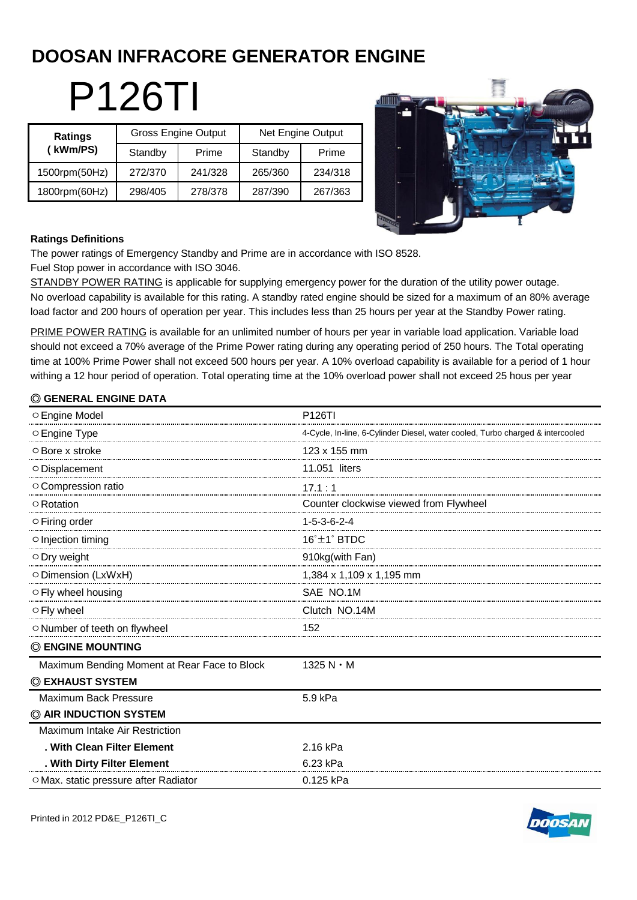# **DOOSAN INFRACORE GENERATOR ENGINE**

P126TI

| Ratings<br>(kWm/PS) |         | <b>Gross Engine Output</b> | Net Engine Output |         |  |
|---------------------|---------|----------------------------|-------------------|---------|--|
|                     | Standby | Prime                      | Standby           | Prime   |  |
| 1500rpm(50Hz)       | 272/370 | 241/328                    | 265/360           | 234/318 |  |
| 1800rpm(60Hz)       | 298/405 | 278/378                    | 287/390           | 267/363 |  |



#### **Ratings Definitions**

The power ratings of Emergency Standby and Prime are in accordance with ISO 8528.

Fuel Stop power in accordance with ISO 3046.

STANDBY POWER RATING is applicable for supplying emergency power for the duration of the utility power outage. No overload capability is available for this rating. A standby rated engine should be sized for a maximum of an 80% average load factor and 200 hours of operation per year. This includes less than 25 hours per year at the Standby Power rating.

PRIME POWER RATING is available for an unlimited number of hours per year in variable load application. Variable load should not exceed a 70% average of the Prime Power rating during any operating period of 250 hours. The Total operating time at 100% Prime Power shall not exceed 500 hours per year. A 10% overload capability is available for a period of 1 hour withing a 12 hour period of operation. Total operating time at the 10% overload power shall not exceed 25 hous per year

## ◎ **GENERAL ENGINE DATA**

| O Engine Model                               | P126TI                                                                         |
|----------------------------------------------|--------------------------------------------------------------------------------|
| O Engine Type                                | 4-Cycle, In-line, 6-Cylinder Diesel, water cooled, Turbo charged & intercooled |
| ○ Bore x stroke                              | 123 x 155 mm                                                                   |
| O Displacement                               | 11.051 liters                                                                  |
| O Compression ratio                          | 17.1:1                                                                         |
| ○ Rotation                                   | Counter clockwise viewed from Flywheel                                         |
| $\circ$ Firing order                         | $1 - 5 - 3 - 6 - 2 - 4$                                                        |
| ○ Injection timing                           | $16^{\circ}$ $\pm$ 1 $^{\circ}$ BTDC                                           |
| $\circ$ Dry weight                           | 910kg(with Fan)                                                                |
| O Dimension (LxWxH)                          | 1,384 x 1,109 x 1,195 mm                                                       |
| ○ Fly wheel housing                          | SAE NO.1M                                                                      |
| ○ Fly wheel                                  | Clutch NO.14M                                                                  |
| O Number of teeth on flywheel                | 152                                                                            |
| <b>© ENGINE MOUNTING</b>                     |                                                                                |
| Maximum Bending Moment at Rear Face to Block | $1325 N \cdot M$                                                               |
| © EXHAUST SYSTEM                             |                                                                                |
| Maximum Back Pressure                        | 5.9 kPa                                                                        |
| © AIR INDUCTION SYSTEM                       |                                                                                |
| Maximum Intake Air Restriction               |                                                                                |
| . With Clean Filter Element                  | 2.16 kPa                                                                       |
| . With Dirty Filter Element                  | 6.23 kPa                                                                       |
| ○ Max. static pressure after Radiator        | 0.125 kPa                                                                      |

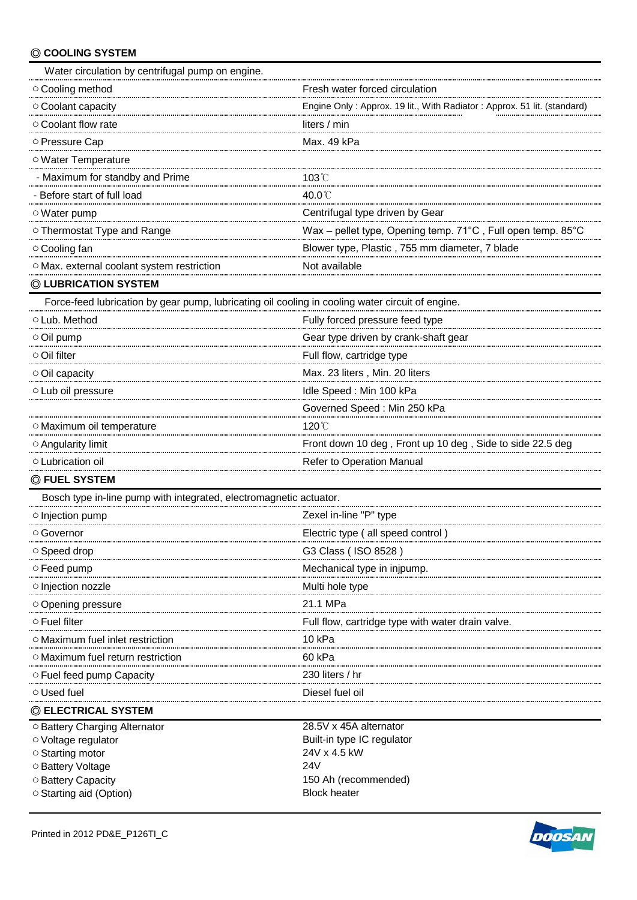## ◎ **COOLING SYSTEM**

| Water circulation by centrifugal pump on engine.                                                 |                                                                         |  |  |  |
|--------------------------------------------------------------------------------------------------|-------------------------------------------------------------------------|--|--|--|
| O Cooling method                                                                                 | Fresh water forced circulation                                          |  |  |  |
| O Coolant capacity                                                                               | Engine Only: Approx. 19 lit., With Radiator: Approx. 51 lit. (standard) |  |  |  |
| ○ Coolant flow rate                                                                              | liters / min                                                            |  |  |  |
| ○ Pressure Cap                                                                                   | Max. 49 kPa                                                             |  |  |  |
| O Water Temperature                                                                              |                                                                         |  |  |  |
| - Maximum for standby and Prime                                                                  | $103^{\circ}$                                                           |  |  |  |
| - Before start of full load                                                                      | 40.0°C                                                                  |  |  |  |
| ○ Water pump                                                                                     | Centrifugal type driven by Gear                                         |  |  |  |
| ○ Thermostat Type and Range                                                                      | Wax - pellet type, Opening temp. 71°C, Full open temp. 85°C             |  |  |  |
| ○ Cooling fan                                                                                    | Blower type, Plastic, 755 mm diameter, 7 blade                          |  |  |  |
| O Max. external coolant system restriction                                                       | Not available                                                           |  |  |  |
| © LUBRICATION SYSTEM                                                                             |                                                                         |  |  |  |
| Force-feed lubrication by gear pump, lubricating oil cooling in cooling water circuit of engine. |                                                                         |  |  |  |
| ○ Lub. Method                                                                                    | Fully forced pressure feed type                                         |  |  |  |
| $\circ$ Oil pump                                                                                 | Gear type driven by crank-shaft gear                                    |  |  |  |
| ○ Oil filter                                                                                     | Full flow, cartridge type                                               |  |  |  |
| Oil capacity                                                                                     | Max. 23 liters, Min. 20 liters                                          |  |  |  |
| $\circ$ Lub oil pressure                                                                         | Idle Speed: Min 100 kPa                                                 |  |  |  |
|                                                                                                  | Governed Speed: Min 250 kPa                                             |  |  |  |
| O Maximum oil temperature                                                                        | 120℃                                                                    |  |  |  |
| ○ Angularity limit                                                                               | Front down 10 deg, Front up 10 deg, Side to side 22.5 deg               |  |  |  |
| O Lubrication oil                                                                                | Refer to Operation Manual                                               |  |  |  |
| © FUEL SYSTEM                                                                                    |                                                                         |  |  |  |
| Bosch type in-line pump with integrated, electromagnetic actuator.                               |                                                                         |  |  |  |
| $\circ$ Injection pump                                                                           | Zexel in-line "P" type                                                  |  |  |  |
| ○ Governor                                                                                       | Electric type (all speed control)                                       |  |  |  |
| $\circ$ Speed drop                                                                               | G3 Class (ISO 8528)                                                     |  |  |  |
| ○ Feed pump                                                                                      | Mechanical type in injpump.                                             |  |  |  |
| o Injection nozzle                                                                               | Multi hole type                                                         |  |  |  |
| ○ Opening pressure                                                                               | 21.1 MPa                                                                |  |  |  |
| $\circ$ Fuel filter                                                                              |                                                                         |  |  |  |
| ○ Maximum fuel inlet restriction                                                                 | 10 kPa                                                                  |  |  |  |
| $\circ$ Maximum fuel return restriction                                                          | 60 kPa                                                                  |  |  |  |
| $\circ$ Fuel feed pump Capacity                                                                  | 230 liters / hr                                                         |  |  |  |
| ○ Used fuel                                                                                      | Diesel fuel oil                                                         |  |  |  |
| © ELECTRICAL SYSTEM                                                                              |                                                                         |  |  |  |
| O Battery Charging Alternator                                                                    | 28.5V x 45A alternator                                                  |  |  |  |
| ○ Voltage regulator                                                                              | Built-in type IC regulator                                              |  |  |  |
| ○ Starting motor<br>○ Battery Voltage                                                            | 24V x 4.5 kW<br>24V                                                     |  |  |  |
|                                                                                                  |                                                                         |  |  |  |

 $\circ$  Starting aid (Option)

○Battery Capacity<br>
○Starting aid (Option) 150 Ah (recommended) 150 Ah (recommended)

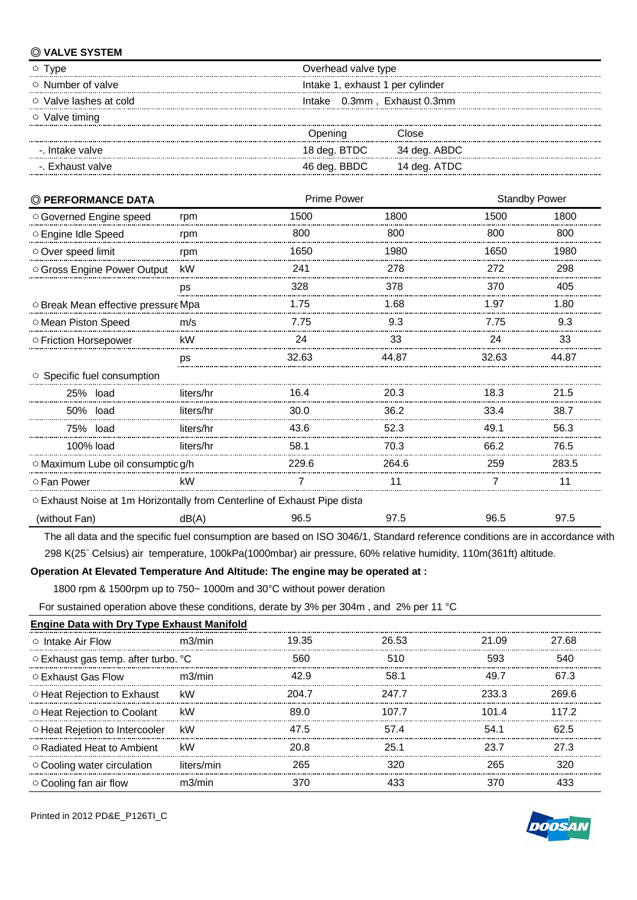### ◎ **VALVE SYSTEM**

| l vpe                   | Overhead valve type              |  |  |
|-------------------------|----------------------------------|--|--|
| $\circ$ Number of valve | Intake 1, exhaust 1 per cylinder |  |  |
| Valve lashes at cold    | Intake 0.3mm, Exhaust 0.3mm      |  |  |
| $\circ$ Valve timing    |                                  |  |  |
|                         | Close<br><b>J</b> pening         |  |  |
| -. Intake valve         | 18 deg. BTDC<br>34 deg. ABDC     |  |  |
| -. Exhaust valve        | 46 deg. BBDC<br>14 deg. ATDC     |  |  |
|                         |                                  |  |  |

| © PERFORMANCE DATA                                                       |           | Prime Power |       | <b>Standby Power</b> |       |
|--------------------------------------------------------------------------|-----------|-------------|-------|----------------------|-------|
| O Governed Engine speed                                                  | rpm       | 1500        | 1800  | 1500                 | 1800  |
| ○ Engine Idle Speed                                                      | rpm       | 800         | 800   | 800                  | 800   |
| Over speed limit                                                         | rpm       | 1650        | 1980  | 1650                 | 1980  |
| ○ Gross Engine Power Output                                              | kW        | 241         | 278   | 272                  | 298   |
|                                                                          | ps        | 328         | 378   | 370                  | 405   |
| O Break Mean effective pressure Mpa                                      |           | 1.75        | 1.68  | 1.97                 | 1.80  |
| O Mean Piston Speed                                                      | m/s       | 7.75        | 9.3   | 7.75                 | 9.3   |
| ○ Friction Horsepower                                                    | kW        | 24          | 33    | 24                   | 33    |
|                                                                          | ps        | 32.63       | 44.87 | 32.63                | 44.87 |
| ○ Specific fuel consumption                                              |           |             |       |                      |       |
| 25% load                                                                 | liters/hr | 16.4        | 20.3  | 18.3                 | 21.5  |
| 50% load                                                                 | liters/hr | 30.0        | 36.2  | 33.4                 | 38.7  |
| 75% load                                                                 | liters/hr | 43.6        | 52.3  | 49.1                 | 56.3  |
| 100% load                                                                | liters/hr | 58.1        | 70.3  | 66.2                 | 76.5  |
| O Maximum Lube oil consumptic g/h                                        |           | 229.6       | 264.6 | 259                  | 283.5 |
| ○ Fan Power                                                              | kW        |             |       |                      | 11    |
| O Exhaust Noise at 1m Horizontally from Centerline of Exhaust Pipe dista |           |             |       |                      |       |
| (without Fan)                                                            | dB(A)     | 96.5        | 97.5  | 96.5                 | 97.5  |

 The all data and the specific fuel consumption are based on ISO 3046/1, Standard reference conditions are in accordance with 298 K(25˚ Celsius) air temperature, 100kPa(1000mbar) air pressure, 60% relative humidity, 110m(361ft) altitude.

#### **Operation At Elevated Temperature And Altitude: The engine may be operated at :**

1800 rpm & 1500rpm up to 750~ 1000m and 30°C without power deration

For sustained operation above these conditions, derate by 3% per 304m , and 2% per 11 °C

| <b>Engine Data with Dry Type Exhaust Manifold</b> |            |       |       |       |       |
|---------------------------------------------------|------------|-------|-------|-------|-------|
| $\circ$ Intake Air Flow                           | m3/min     | 19.35 | 26.53 | 21.09 | 27 68 |
| ○ Exhaust gas temp. after turbo. °C               |            | 560   | 510   | 593   | 540   |
| ○ Exhaust Gas Flow                                | m3/min     | 42 Q  | 58.1  | 49 7  | 67.3  |
| ○ Heat Rejection to Exhaust                       | kW         | 204.7 | 247.7 | ୨२२ २ | 269 R |
| O Heat Rejection to Coolant                       | kW         | 89 N  | 107 7 | 101 4 | 117 2 |
| ○ Heat Reietion to Intercooler                    | kW         | 47.5  | 574   | 54.1  | 62 5  |
| O Radiated Heat to Ambient                        | kW         | 20 R  | 25.1  | 23 7  | 27 3  |
| ○ Cooling water circulation                       | liters/min | 265   | 320   | 265   | 320   |
| ○ Cooling fan air flow                            | m3/min     |       | 433   | 370   |       |

Printed in 2012 PD&E\_P126TI\_C